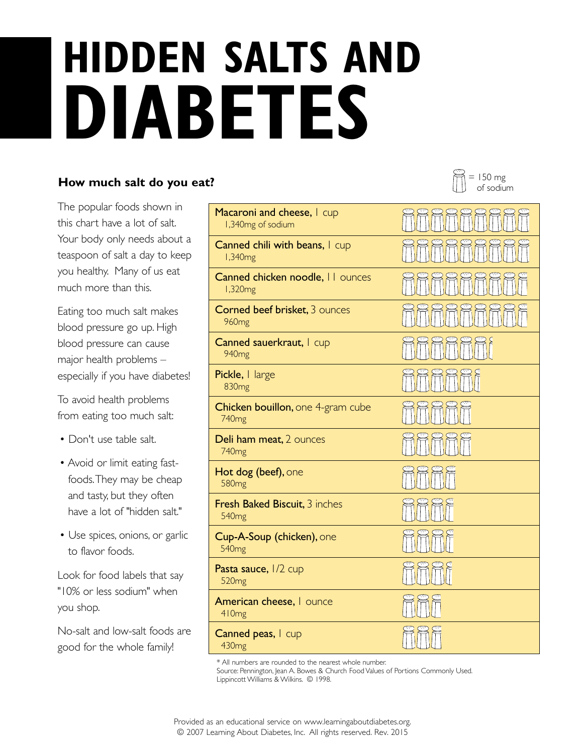## **DIABETES HIDDEN SALTS AND**

## **How much salt do you eat?**

The popular foods shown in this chart have a lot of salt. Your body only needs about a teaspoon of salt a day to keep you healthy. Many of us eat much more than this.

Eating too much salt makes blood pressure go up. High blood pressure can cause major health problems – especially if you have diabetes!

To avoid health problems from eating too much salt:

- Don't use table salt.
- Avoid or limit eating fastfoods. They may be cheap and tasty, but they often have a lot of "hidden salt."
- Use spices, onions, or garlic to flavor foods.

Look for food labels that say "10% or less sodium" when you shop.

No-salt and low-salt foods are good for the whole family!

| Macaroni and cheese, I cup<br>1,340mg of sodium           |  |
|-----------------------------------------------------------|--|
| Canned chili with beans, I cup<br>1,340mg                 |  |
| Canned chicken noodle, II ounces<br>1,320mg               |  |
| <b>Corned beef brisket, 3 ounces</b><br>960 <sub>mg</sub> |  |
| Canned sauerkraut, I cup<br>940 <sub>mg</sub>             |  |
| Pickle, I large<br>830 <sub>mg</sub>                      |  |
| Chicken bouillon, one 4-gram cube<br>740 <sub>mg</sub>    |  |
| Deli ham meat, 2 ounces<br>740 <sub>mg</sub>              |  |
| Hot dog (beef), one<br>580 <sub>mg</sub>                  |  |
| Fresh Baked Biscuit, 3 inches<br>540 <sub>mg</sub>        |  |
| Cup-A-Soup (chicken), one<br>540 <sub>mg</sub>            |  |
| Pasta sauce, 1/2 cup<br>520 <sub>mg</sub>                 |  |
| American cheese, I ounce<br>410mg                         |  |
| Canned peas, I cup<br>430 <sub>mg</sub>                   |  |

\* All numbers are rounded to the nearest whole number.

Source: Pennington, Jean A. Bowes & Church Food Values of Portions Commonly Used. Lippincott Williams & Wilkins. © 1998.